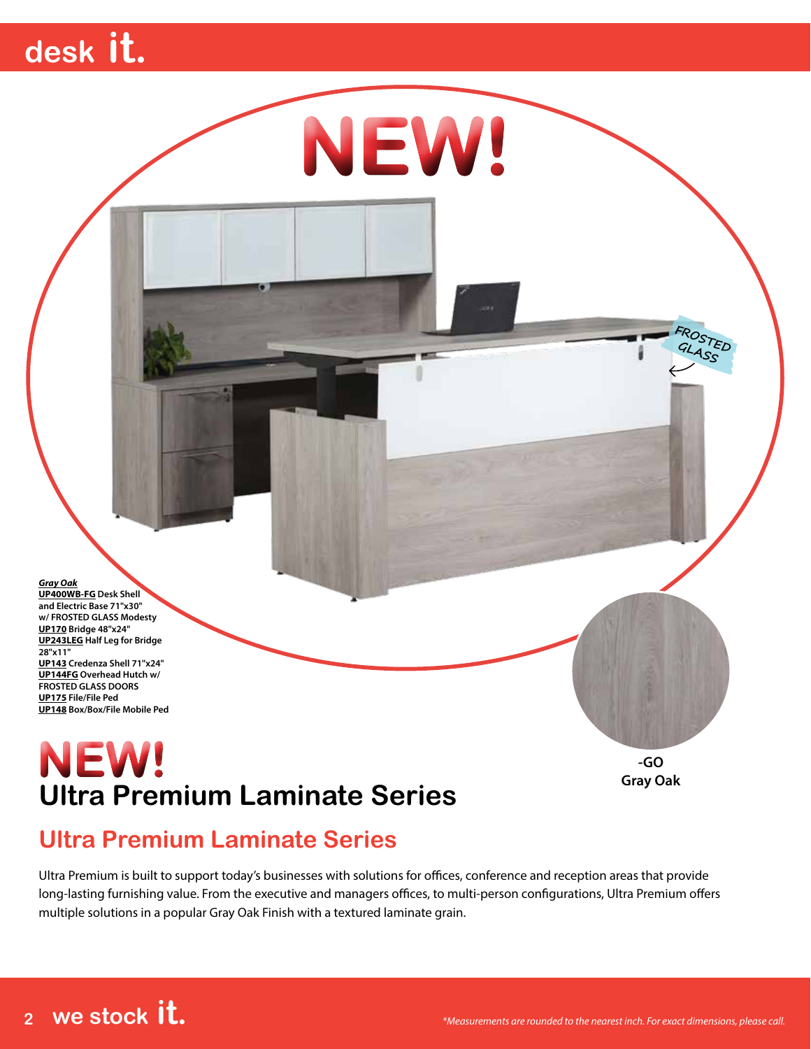# **desk it.**

*Gray Oak* **UP400WB-FG Desk Shell and Electric Base 71"x30" w/ FROSTED GLASS Modesty UP170 Bridge 48"x24" UP243LEG Half Leg for Bridge 28"x11" UP143 Credenza Shell 71"x24" UP144FG Overhead Hutch w/ FROSTED GLASS DOORS UP175 File/File Ped UP148 Box/Box/File Mobile Ped**

#### **Ultra Premium Laminate Series NEW!**

**-GO Gray Oak**

**FROSTED GLASS**

#### **Ultra Premium Laminate Series**

Ultra Premium is built to support today's businesses with solutions for offices, conference and reception areas that provide long-lasting furnishing value. From the executive and managers offices, to multi-person configurations, Ultra Premium offers multiple solutions in a popular Gray Oak Finish with a textured laminate grain.

**NEW!**

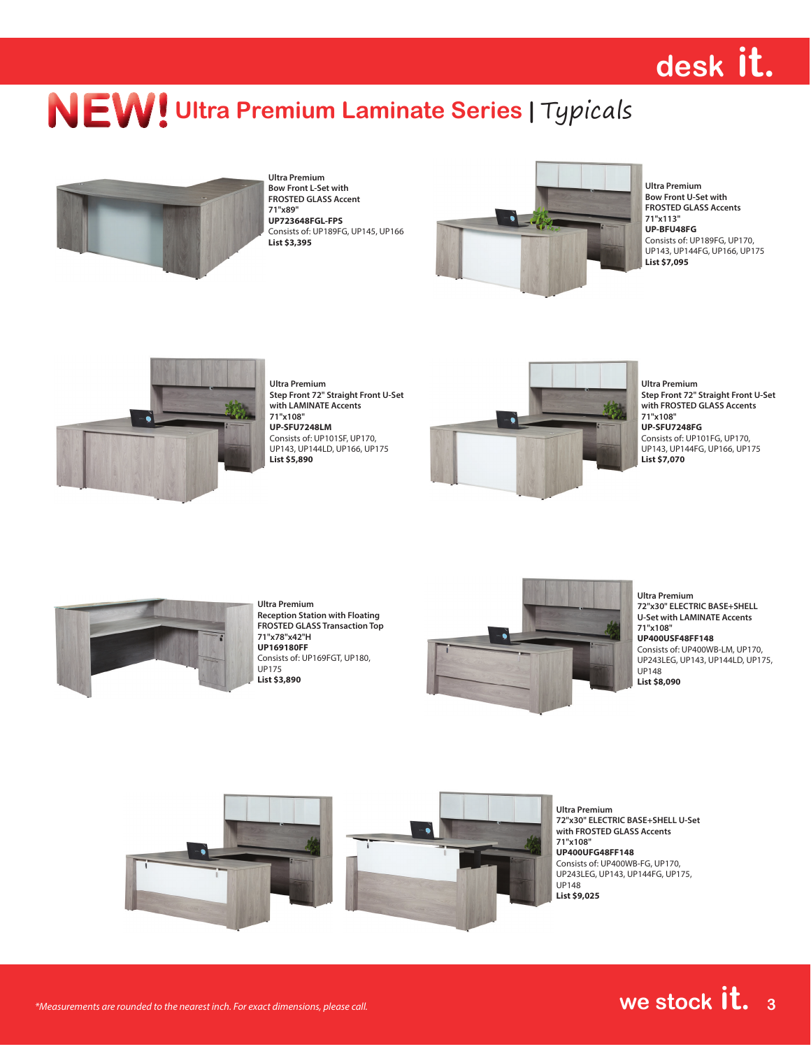# **desk it.**

### **NEW! Ultra Premium Laminate Series | Typicals**



**Ultra Premium Bow Front L-Set with FROSTED GLASS Accent 71"x89" UP723648FGL-FPS** Consists of: UP189FG, UP145, UP166 **List \$3,395**



**Ultra Premium Bow Front U-Set with FROSTED GLASS Accents 71"x113" UP-BFU48FG** Consists of: UP189FG, UP170, UP143, UP144FG, UP166, UP175 **List \$7,095**



**Ultra Premium Step Front 72" Straight Front U-Set with LAMINATE Accents 71"x108" UP-SFU7248LM** Consists of: UP101SF, UP170, UP143, UP144LD, UP166, UP175 **List \$5,890**



**Ultra Premium Step Front 72" Straight Front U-Set with FROSTED GLASS Accents 71"x108" UP-SFU7248FG** Consists of: UP101FG, UP170, UP143, UP144FG, UP166, UP175 **List \$7,070**



**Ultra Premium Reception Station with Floating FROSTED GLASS Transaction Top 71"x78"x42"H UP169180FF** Consists of: UP169FGT, UP180, UP175 **List \$3,890**



**Ultra Premium 72"x30" ELECTRIC BASE+SHELL U-Set with LAMINATE Accents 71"x108" UP400USF48FF148** Consists of: UP400WB-LM, UP170, UP243LEG, UP143, UP144LD, UP175, UP148 **List \$8,090**



**72"x30" ELECTRIC BASE+SHELL U-Set with FROSTED GLASS Accents UP400UFG48FF148** Consists of: UP400WB-FG, UP170, UP243LEG, UP143, UP144FG, UP175,